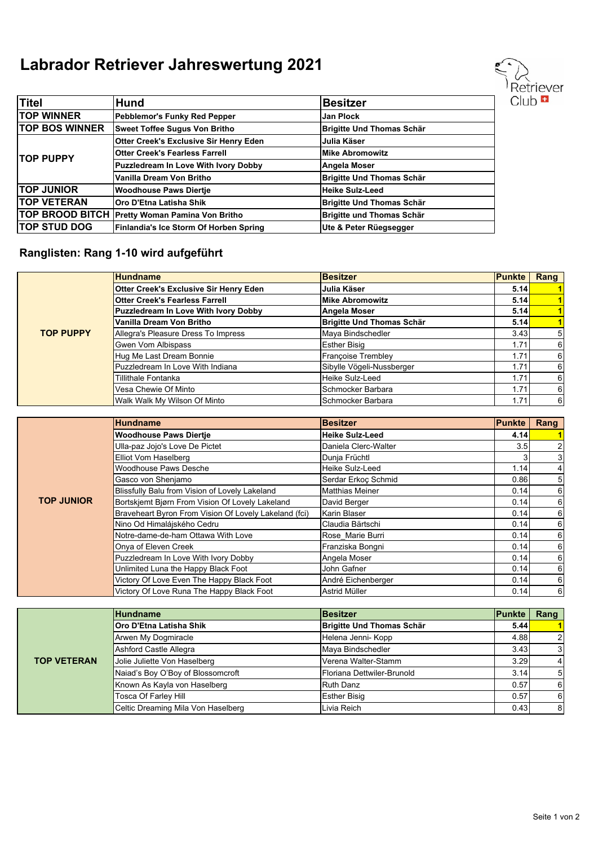## **Labrador Retriever Jahreswertung 2021**

| Titel                 | <b>Hund</b>                                    | <b>Besitzer</b>                  |
|-----------------------|------------------------------------------------|----------------------------------|
| <b>TOP WINNER</b>     | Pebblemor's Funky Red Pepper                   | <b>Jan Plock</b>                 |
| <b>TOP BOS WINNER</b> | <b>Sweet Toffee Sugus Von Britho</b>           | <b>Brigitte Und Thomas Schär</b> |
| <b>ITOP PUPPY</b>     | <b>Otter Creek's Exclusive Sir Henry Eden</b>  | Julia Käser                      |
|                       | <b>Otter Creek's Fearless Farrell</b>          | <b>Mike Abromowitz</b>           |
|                       | <b>Puzzledream In Love With Ivory Dobby</b>    | Angela Moser                     |
|                       | Vanilla Dream Von Britho                       | Brigitte Und Thomas Schär        |
| <b>TOP JUNIOR</b>     | <b>Woodhouse Paws Diertie</b>                  | Heike Sulz-Leed                  |
| <b>TOP VETERAN</b>    | Oro D'Etna Latisha Shik                        | <b>Brigitte Und Thomas Schär</b> |
|                       | TOP BROOD BITCH Pretty Woman Pamina Von Britho | Brigitte und Thomas Schär        |
| <b>TOP STUD DOG</b>   | Finlandia's Ice Storm Of Horben Spring         | Ute & Peter Rüegsegger           |

## **Ranglisten: Rang 1-10 wird aufgeführt**

|                  | <b>Hundname</b>                               | <b>Besitzer</b>                  | <b>Punkte</b> | Rang           |
|------------------|-----------------------------------------------|----------------------------------|---------------|----------------|
|                  | <b>Otter Creek's Exclusive Sir Henry Eden</b> | Julia Käser                      | 5.14          |                |
|                  | <b>Otter Creek's Fearless Farrell</b>         | <b>Mike Abromowitz</b>           | 5.14          |                |
|                  | <b>Puzzledream In Love With Ivory Dobby</b>   | Angela Moser                     | 5.14          |                |
|                  | Vanilla Dream Von Britho                      | <b>Brigitte Und Thomas Schär</b> | 5.14          |                |
| <b>TOP PUPPY</b> | Allegra's Pleasure Dress To Impress           | Maya Bindschedler                | 3.43          | 5 <sup>1</sup> |
|                  | Gwen Vom Albispass                            | <b>Esther Bisig</b>              | 1.71          | 6              |
|                  | Hug Me Last Dream Bonnie                      | Françoise Trembley               | 1.71          | $6 \mid$       |
|                  | Puzzledream In Love With Indiana              | Sibylle Vögeli-Nussberger        | 1.71          | 61             |
|                  | Tillithale Fontanka                           | Heike Sulz-Leed                  | 1.71          | 6              |
|                  | Vesa Chewie Of Minto                          | Schmocker Barbara                | 1.71          | 6              |
|                  | Walk Walk My Wilson Of Minto                  | Schmocker Barbara                | 1.71          | $6 \mid$       |

|                   | <b>Hundname</b>                                       | <b>Besitzer</b>        | <b>Punkte</b> | Rang           |
|-------------------|-------------------------------------------------------|------------------------|---------------|----------------|
|                   | <b>Woodhouse Paws Diertie</b>                         | <b>Heike Sulz-Leed</b> | 4.14          |                |
|                   | Ulla-paz Jojo's Love De Pictet                        | Daniela Clerc-Walter   | 3.5           | $\overline{2}$ |
|                   | Elliot Vom Haselberg                                  | Dunja Früchtl          |               | 3 <sup>l</sup> |
|                   | Woodhouse Paws Desche                                 | Heike Sulz-Leed        | 1.14          | 4 <sup>1</sup> |
|                   | Gasco von Shenjamo                                    | Serdar Erkoc Schmid    | 0.86          | 5 <sub>l</sub> |
|                   | Blissfully Balu from Vision of Lovely Lakeland        | <b>Matthias Meiner</b> | 0.14          | 6 <sup>1</sup> |
| <b>TOP JUNIOR</b> | Bortskjemt Bjørn From Vision Of Lovely Lakeland       | David Berger           | 0.14          | $6 \mid$       |
|                   | Braveheart Byron From Vision Of Lovely Lakeland (fci) | Karin Blaser           | 0.14          | $6 \mid$       |
|                   | Nino Od Himalájského Cedru                            | Claudia Bärtschi       | 0.14          | $6 \mid$       |
|                   | Notre-dame-de-ham Ottawa With Love                    | Rose Marie Burri       | 0.14          | $6 \mid$       |
|                   | Onya of Eleven Creek                                  | Franziska Bongni       | 0.14          | $6 \mid$       |
|                   | Puzzledream In Love With Ivory Dobby                  | Angela Moser           | 0.14          | $6 \mid$       |
|                   | Unlimited Luna the Happy Black Foot                   | John Gafner            | 0.14          | $6 \mid$       |
|                   | Victory Of Love Even The Happy Black Foot             | André Eichenberger     | 0.14          | $6 \mid$       |
|                   | Victory Of Love Runa The Happy Black Foot             | Astrid Müller          | 0.14          | $6 \mid$       |

| <b>TOP VETERAN</b> | <b>Hundname</b>                    | <b>Besitzer</b>                  | <b>IPunkte</b> | Rang           |
|--------------------|------------------------------------|----------------------------------|----------------|----------------|
|                    | IOro D'Etna Latisha Shik           | <b>Brigitte Und Thomas Schär</b> | 5.44           |                |
|                    | Arwen My Dogmiracle                | Helena Jenni- Kopp               | 4.88           | 2 <sup>1</sup> |
|                    | Ashford Castle Allegra             | Maya Bindschedler                | 3.43           | 3 <sup>l</sup> |
|                    | Jolie Juliette Von Haselberg       | Verena Walter-Stamm              | 3.29           | 4 <sup>1</sup> |
|                    | Naiad's Boy O'Boy of Blossomcroft  | Floriana Dettwiler-Brunold       | 3.14           | 5 <sup>1</sup> |
|                    | Known As Kayla von Haselberg       | <b>Ruth Danz</b>                 | 0.57           | 6              |
|                    | <b>Tosca Of Farley Hill</b>        | <b>Esther Bisig</b>              | 0.57           | $6 \mid$       |
|                    | Celtic Dreaming Mila Von Haselberg | Livia Reich                      | 0.43           | 8              |

Retriever  $Club$   $\blacksquare$